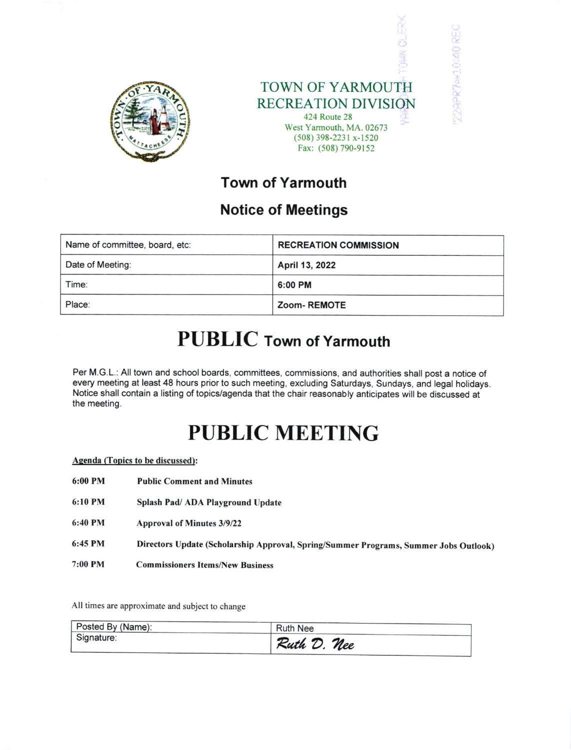



CAPRTAM10:40 REC

## Town of Yarmouth

## Notice of Meetings

| Name of committee, board, etc: | <b>RECREATION COMMISSION</b> |
|--------------------------------|------------------------------|
| Date of Meeting:               | April 13, 2022               |
| Time:                          | 6:00 PM                      |
| Place:                         | Zoom-REMOTE                  |

## PUBLIC Town of Yarmouth

Per M.G.L.: All town and school boards, committees, commissions, and authorities shall post a notice of every meeting at least 48 hours prior to such meeting, excluding Saturdays, Sundays, and legal holidays. Notice shall contain a listing of topics/agenda that the chair reasonably anticipates will be discussed at the meeting.

# PUBLIC MEETING

|  |  |  | <b>Agenda</b> (Topics to be discussed): |  |
|--|--|--|-----------------------------------------|--|
|--|--|--|-----------------------------------------|--|

- Public Comment and Minutes 6:00 PM
- Splash Pad/ ADA Playground Update 6:10 PM
- Approval of Minutes 3/9/22 6:40 PM
- Directors Update (Scholarship Approval, Spring/Summer Programs, Summer Jobs Outlook) 6:45 PM
- Commissioners Items/New Business 7:00 PM

All times are approximate and subject to change

| Posted By (Name): | <b>Ruth Nee</b> |  |
|-------------------|-----------------|--|
| Signature:        | Ruth D. Nee     |  |